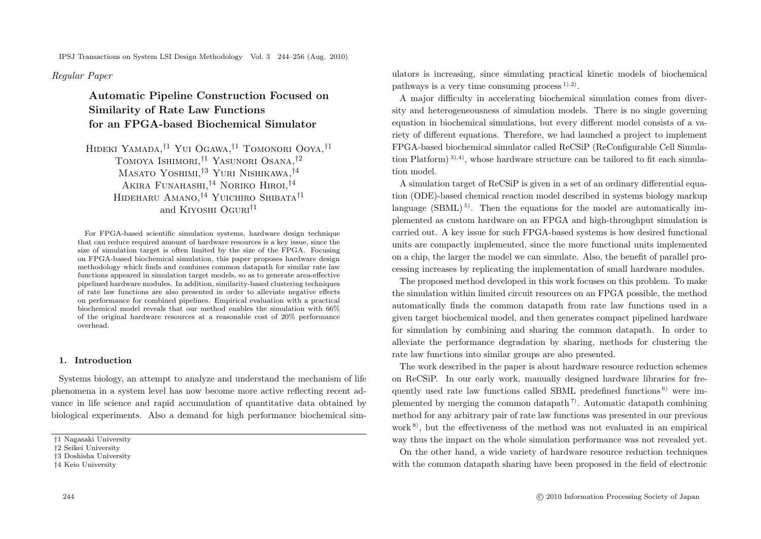IPSJ Transactions on System LSI Design Methodology Vol. 3 244–256 (Aug. 2010)

*Regular Paper*

# **Automatic Pipeline Construction Focused on Similarity of Rate Law Functions for an FPGA-based Biochemical Simulator**

Hideki Yamada,†1 Yui Ogawa,†1 Tomonori Ooya,†1 Tomoya Ishimori,†1 Yasunori Osana,†2 Masato Yoshimi,†3 Yuri Nishikawa,†4 Akira Funahashi,†4 Noriko Hiroi,†4 HIDEHARU AMANO,<sup>†4</sup> YUICHIRO SHIBATA<sup>†1</sup> and KIYOSHI OGURI<sup>†1</sup>

For FPGA-based scientific simulation systems, hardware design technique that can reduce required amount of hardware resources is a key issue, since the size of simulation target is often limited by the size of the FPGA. Focusing on FPGA-based biochemical simulation, this paper proposes hardware design methodology which finds and combines common datapath for similar rate law functions appeared in simulation target models, so as to generate area-effective pipelined hardware modules. In addition, similarity-based clustering techniques of rate law functions are also presented in order to alleviate negative effects on performance for combined pipelines. Empirical evaluation with a practical biochemical model reveals that our method enables the simulation with 66% of the original hardware resources at a reasonable cost of 20% performance overhead.

# **1. Introduction**

Systems biology, an attempt to analyze and understand the mechanism of life phenomena in a system level has now become more active reflecting recent advance in life science and rapid accumulation of quantitative data obtained by biological experiments. Also a demand for high performance biochemical simulators is increasing, since simulating practical kinetic models of biochemical pathways is a very time consuming process  $(1)$ ,  $(2)$ .

A major difficulty in accelerating biochemical simulation comes from diversity and heterogeneousness of simulation models. There is no single governing equation in biochemical simulations, but every different model consists of a variety of different equations. Therefore, we had launched a project to implement FPGA-based biochemical simulator called ReCSiP (ReConfigurable Cell Simulation Platform<sup> $(3)$ ,4)</sup>, whose hardware structure can be tailored to fit each simulation model.

A simulation target of ReCSiP is given in a set of an ordinary differential equation (ODE)-based chemical reaction model described in systems biology markup language  $(SBML)^{5}$ . Then the equations for the model are automatically implemented as custom hardware on an FPGA and high-throughput simulation is carried out. A key issue for such FPGA-based systems is how desired functional units are compactly implemented, since the more functional units implemented on a chip, the larger the model we can simulate. Also, the benefit of parallel processing increases by replicating the implementation of small hardware modules.

The proposed method developed in this work focuses on this problem. To make the simulation within limited circuit resources on an FPGA possible, the method automatically finds the common datapath from rate law functions used in a given target biochemical model, and then generates compact pipelined hardware for simulation by combining and sharing the common datapath. In order to alleviate the performance degradation by sharing, methods for clustering the rate law functions into similar groups are also presented.

The work described in the paper is about hardware resource reduction schemes on ReCSiP. In our early work, manually designed hardware libraries for frequently used rate law functions called SBML predefined functions  $\epsilon$ <sup>6)</sup> were implemented by merging the common datapath<sup>7</sup>. Automatic datapath combining method for any arbitrary pair of rate law functions was presented in our previous work<sup>8</sup>, but the effectiveness of the method was not evaluated in an empirical way thus the impact on the whole simulation performance was not revealed yet. On the other hand, a wide variety of hardware resource reduction techniques with the common datapath sharing have been proposed in the field of electronic

<sup>†</sup>1 Nagasaki University

<sup>†</sup>2 Seikei University

<sup>†</sup>3 Doshisha University

<sup>†</sup>4 Keio University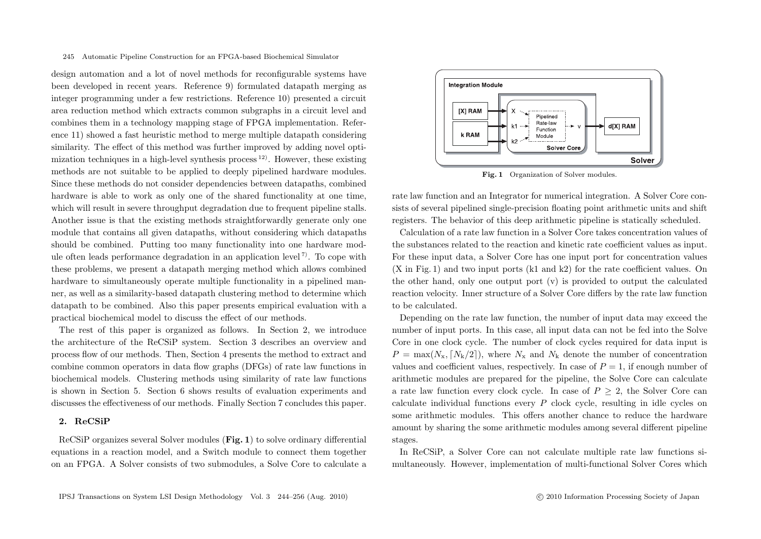design automation and a lot of novel methods for reconfigurable systems have been developed in recent years. Reference 9) formulated datapath merging as integer programming under a few restrictions. Reference 10) presented a circuit area reduction method which extracts common subgraphs in a circuit level and combines them in a technology mapping stage of FPGA implementation. Reference 11) showed a fast heuristic method to merge multiple datapath considering similarity. The effect of this method was further improved by adding novel optimization techniques in a high-level synthesis process  $12$ ). However, these existing methods are not suitable to be applied to deeply pipelined hardware modules. Since these methods do not consider dependencies between datapaths, combined hardware is able to work as only one of the shared functionality at one time, which will result in severe throughput degradation due to frequent pipeline stalls. Another issue is that the existing methods straightforwardly generate only one module that contains all given datapaths, without considering which datapaths should be combined. Putting too many functionality into one hardware module often leads performance degradation in an application level<sup>7</sup>. To cope with these problems, we present a datapath merging method which allows combined hardware to simultaneously operate multiple functionality in a pipelined manner, as well as a similarity-based datapath clustering method to determine which datapath to be combined. Also this paper presents empirical evaluation with a practical biochemical model to discuss the effect of our methods.

The rest of this paper is organized as follows. In Section 2, we introduce the architecture of the ReCSiP system. Section 3 describes an overview and process flow of our methods. Then, Section 4 presents the method to extract and combine common operators in data flow graphs (DFGs) of rate law functions in biochemical models. Clustering methods using similarity of rate law functions is shown in Section 5. Section 6 shows results of evaluation experiments and discusses the effectiveness of our methods. Finally Section 7 concludes this paper.

# **2. ReCSiP**

ReCSiP organizes several Solver modules (**Fig. 1**) to solve ordinary differential equations in a reaction model, and a Switch module to connect them together on an FPGA. A Solver consists of two submodules, a Solve Core to calculate a



Fig. 1 Organization of Solver modules.

rate law function and an Integrator for numerical integration. A Solver Core consists of several pipelined single-precision floating point arithmetic units and shift registers. The behavior of this deep arithmetic pipeline is statically scheduled.

Calculation of a rate law function in a Solver Core takes concentration values of the substances related to the reaction and kinetic rate coefficient values as input. For these input data, a Solver Core has one input port for concentration values (X in Fig. 1) and two input ports (k1 and k2) for the rate coefficient values. On the other hand, only one output port (v) is provided to output the calculated reaction velocity. Inner structure of a Solver Core differs by the rate law function to be calculated.

Depending on the rate law function, the number of input data may exceed the number of input ports. In this case, all input data can not be fed into the Solve Core in one clock cycle. The number of clock cycles required for data input is  $P = \max(N_x, \lceil N_k/2 \rceil)$ , where  $N_x$  and  $N_k$  denote the number of concentration values and coefficient values, respectively. In case of  $P = 1$ , if enough number of arithmetic modules are prepared for the pipeline, the Solve Core can calculate a rate law function every clock cycle. In case of  $P > 2$ , the Solver Core can calculate individual functions every *P* clock cycle, resulting in idle cycles on some arithmetic modules. This offers another chance to reduce the hardware amount by sharing the some arithmetic modules among several different pipeline stages.

In ReCSiP, a Solver Core can not calculate multiple rate law functions simultaneously. However, implementation of multi-functional Solver Cores which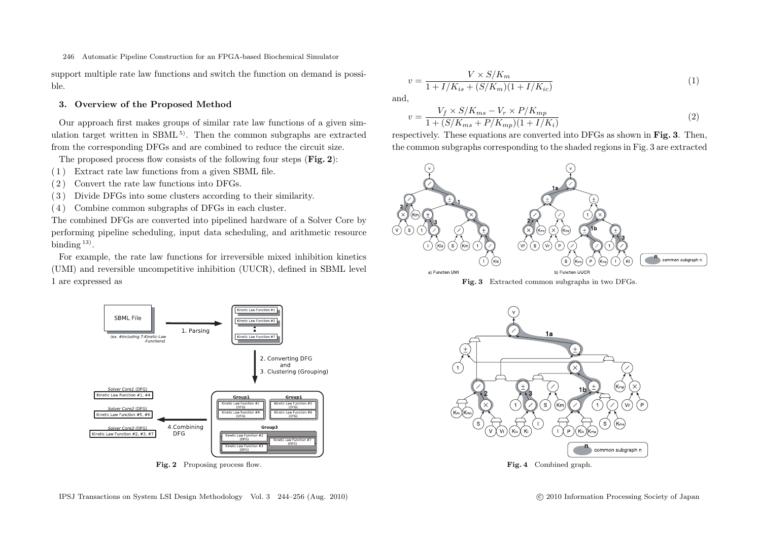support multiple rate law functions and switch the function on demand is possible.

## **3. Overview of the Proposed Method**

Our approach first makes groups of similar rate law functions of a given simulation target written in  $SBML^{5}$ . Then the common subgraphs are extracted from the corresponding DFGs and are combined to reduce the circuit size.

The proposed process flow consists of the following four steps (**Fig. 2**):

- ( 1 ) Extract rate law functions from a given SBML file.
- ( 2 ) Convert the rate law functions into DFGs.
- ( 3 ) Divide DFGs into some clusters according to their similarity.
- ( 4 ) Combine common subgraphs of DFGs in each cluster.

The combined DFGs are converted into pipelined hardware of a Solver Core by performing pipeline scheduling, input data scheduling, and arithmetic resource binding <sup>13)</sup>.

For example, the rate law functions for irreversible mixed inhibition kinetics (UMI) and reversible uncompetitive inhibition (UUCR), defined in SBML level 1 are expressed as



Fig. 2 Proposing process flow.

and,

$$
v = \frac{V_f \times S/K_{ms} - V_r \times P/K_{mp}}{1 + (S/K_{ms} + P/K_{mp})(1 + I/K_i)}
$$
(2)  
respectively. These equations are converted into DFGs as shown in **Fig. 3**. Then,

the common subgraphs corresponding to the shaded regions in Fig. 3 are extracted



**Fig. 3** Extracted common subgraphs in two DFGs.

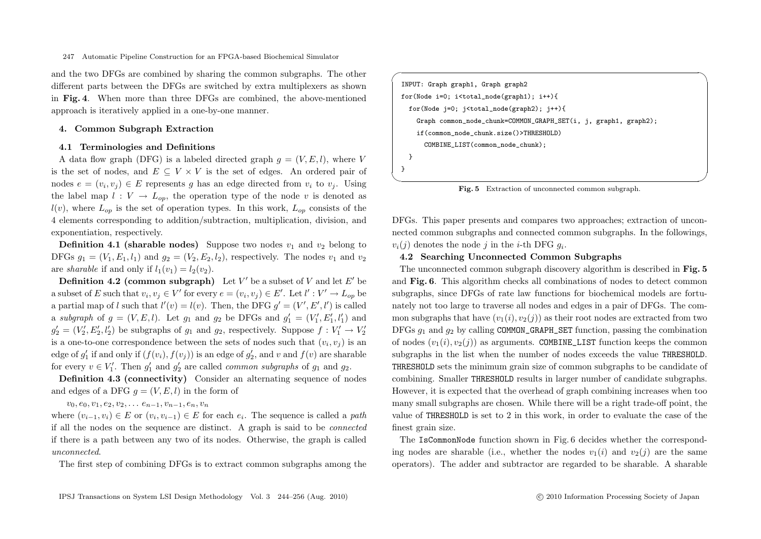and the two DFGs are combined by sharing the common subgraphs. The other different parts between the DFGs are switched by extra multiplexers as shown in **Fig. 4**. When more than three DFGs are combined, the above-mentioned approach is iteratively applied in a one-by-one manner.

## **4. Common Subgraph Extraction**

#### **4.1 Terminologies and Definitions**

A data flow graph (DFG) is a labeled directed graph  $q = (V, E, l)$ , where V is the set of nodes, and  $E \subseteq V \times V$  is the set of edges. An ordered pair of nodes  $e = (v_i, v_j) \in E$  represents g has an edge directed from  $v_i$  to  $v_j$ . Using the label map  $l : V \to L_{on}$ , the operation type of the node v is denoted as  $l(v)$ , where  $L_{op}$  is the set of operation types. In this work,  $L_{op}$  consists of the 4 elements corresponding to addition/subtraction, multiplication, division, and exponentiation, respectively.

**Definition 4.1 (sharable nodes)** Suppose two nodes  $v_1$  and  $v_2$  belong to DFGs  $g_1 = (V_1, E_1, l_1)$  and  $g_2 = (V_2, E_2, l_2)$ , respectively. The nodes  $v_1$  and  $v_2$ are *sharable* if and only if  $l_1(v_1) = l_2(v_2)$ .

**Definition 4.2 (common subgraph)** Let  $V'$  be a subset of  $V$  and let  $E'$  be a subset of *E* such that  $v_i, v_j \in V'$  for every  $e = (v_i, v_j) \in E'$ . Let  $l' : V' \to L_{op}$  be a partial map of *l* such that  $l'(v) = l(v)$ . Then, the DFG  $g' = (V', E', l')$  is called a *subgraph* of  $g = (V, E, l)$ . Let  $g_1$  and  $g_2$  be DFGs and  $g'_1 = (V'_1, E'_1, l'_1)$  and  $g_2' = (V_2', E_2', l_2')$  be subgraphs of  $g_1$  and  $g_2$ , respectively. Suppose  $f : V_1' \to V_2'$ is a one-to-one correspondence between the sets of nodes such that  $(v_i, v_j)$  is an edge of  $g'_1$  if and only if  $(f(v_i), f(v_j))$  is an edge of  $g'_2$ , and  $v$  and  $f(v)$  are sharable for every  $v \in V'_1$ . Then  $g'_1$  and  $g'_2$  are called *common subgraphs* of  $g_1$  and  $g_2$ .

**Definition 4.3 (connectivity)** Consider an alternating sequence of nodes and edges of a DFG  $q = (V, E, l)$  in the form of

 $v_0, e_0, v_1, e_2, v_2, \ldots, e_{n-1}, v_{n-1}, e_n, v_n$ 

where  $(v_{i-1}, v_i) \in E$  or  $(v_i, v_{i-1}) \in E$  for each  $e_i$ . The sequence is called a *path* if all the nodes on the sequence are distinct. A graph is said to be *connected* if there is a path between any two of its nodes. Otherwise, the graph is called *unconnected*.

The first step of combining DFGs is to extract common subgraphs among the

✓ ✏ INPUT: Graph graph1, Graph graph2 for(Node i=0; i<total\_node(graph1); i++){ for(Node j=0; j<total\_node(graph2); j++){ Graph common\_node\_chunk=COMMON\_GRAPH\_SET(i, j, graph1, graph2); if(common\_node\_chunk.size()>THRESHOLD) COMBINE\_LIST(common\_node\_chunk); } }

✒ ✑ **Fig. 5** Extraction of unconnected common subgraph.

DFGs. This paper presents and compares two approaches; extraction of unconnected common subgraphs and connected common subgraphs. In the followings,  $v_i(j)$  denotes the node *j* in the *i*-th DFG  $g_i$ .

## **4.2 Searching Unconnected Common Subgraphs**

The unconnected common subgraph discovery algorithm is described in **Fig. 5** and **Fig. 6**. This algorithm checks all combinations of nodes to detect common subgraphs, since DFGs of rate law functions for biochemical models are fortunately not too large to traverse all nodes and edges in a pair of DFGs. The common subgraphs that have  $(v_1(i), v_2(j))$  as their root nodes are extracted from two DFGs *g*<sup>1</sup> and *g*<sup>2</sup> by calling COMMON\_GRAPH\_SET function, passing the combination of nodes  $(v_1(i), v_2(i))$  as arguments. COMBINE\_LIST function keeps the common subgraphs in the list when the number of nodes exceeds the value THRESHOLD. THRESHOLD sets the minimum grain size of common subgraphs to be candidate of combining. Smaller THRESHOLD results in larger number of candidate subgraphs. However, it is expected that the overhead of graph combining increases when too many small subgraphs are chosen. While there will be a right trade-off point, the value of THRESHOLD is set to 2 in this work, in order to evaluate the case of the finest grain size.

The IsCommonNode function shown in Fig. 6 decides whether the corresponding nodes are sharable (i.e., whether the nodes  $v_1(i)$  and  $v_2(i)$  are the same operators). The adder and subtractor are regarded to be sharable. A sharable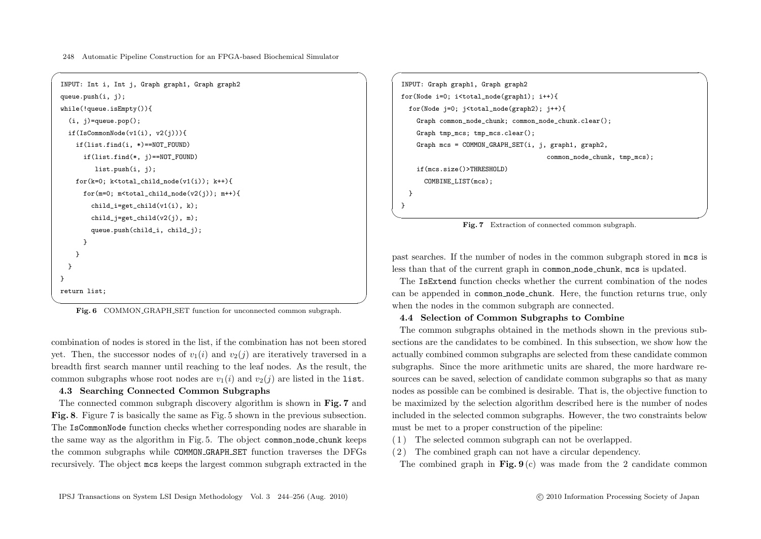```
\sqrt{2\pi}INPUT: Int i, Int j, Graph graph1, Graph graph2
 queue.push(i, j);
 while(!queue.isEmpty()){
   (i, i)=queue.pop();
   if(IsCommonNode(v1(i), v2(i))){
    if(list.find(i, *)==NOT_FOUND)
      if(list.find(*, j)==NOT_FOUND)
         list.push(i, j);
    for(k=0; k<total_child_node(v1(i)); k++){
      for(m=0; m < total_child_node(v2(j)); m++){
        child_i=get_child(v1(i), k);child_j=get_child(v2(j), m);
        queue.push(child_i, child_j);
      }
     }
   }
 }
 return list;
```
 $\overline{\phantom{a}}$ **Fig. 6** COMMON GRAPH SET function for unconnected common subgraph.

combination of nodes is stored in the list, if the combination has not been stored yet. Then, the successor nodes of  $v_1(i)$  and  $v_2(i)$  are iteratively traversed in a breadth first search manner until reaching to the leaf nodes. As the result, the common subgraphs whose root nodes are  $v_1(i)$  and  $v_2(i)$  are listed in the list.

# **4.3 Searching Connected Common Subgraphs**

The connected common subgraph discovery algorithm is shown in **Fig. 7** and **Fig. 8**. Figure 7 is basically the same as Fig. 5 shown in the previous subsection. The IsCommonNode function checks whether corresponding nodes are sharable in the same way as the algorithm in Fig. 5. The object common node chunk keeps the common subgraphs while COMMON GRAPH SET function traverses the DFGs recursively. The object mcs keeps the largest common subgraph extracted in the

```
INPUT: Graph graph1, Graph graph2
for(Node i=0; i<total node(graph1); i^{++}){
  for(Node j=0; j<total_node(graph2); j++){
    Graph common_node_chunk; common_node_chunk.clear();
    Graph tmp_mcs; tmp_mcs.clear();
    Graph mcs = COMMON_GRAPH_SET(i, j, graph1, graph2,
                                       common_node_chunk, tmp_mcs);
    if(mcs.size()>THRESHOLD)
      COMBINE_LIST(mcs);
 }
}
```
 $\sqrt{2\pi}$ 

✒ ✑ **Fig. 7** Extraction of connected common subgraph.

past searches. If the number of nodes in the common subgraph stored in mcs is less than that of the current graph in common node chunk, mcs is updated.

The IsExtend function checks whether the current combination of the nodes can be appended in common node chunk. Here, the function returns true, only when the nodes in the common subgraph are connected.

# **4.4 Selection of Common Subgraphs to Combine**

The common subgraphs obtained in the methods shown in the previous subsections are the candidates to be combined. In this subsection, we show how the actually combined common subgraphs are selected from these candidate common subgraphs. Since the more arithmetic units are shared, the more hardware resources can be saved, selection of candidate common subgraphs so that as many nodes as possible can be combined is desirable. That is, the objective function to be maximized by the selection algorithm described here is the number of nodes included in the selected common subgraphs. However, the two constraints below must be met to a proper construction of the pipeline:

- ( 1 ) The selected common subgraph can not be overlapped.
- ( 2 ) The combined graph can not have a circular dependency.

The combined graph in **Fig. 9** (c) was made from the 2 candidate common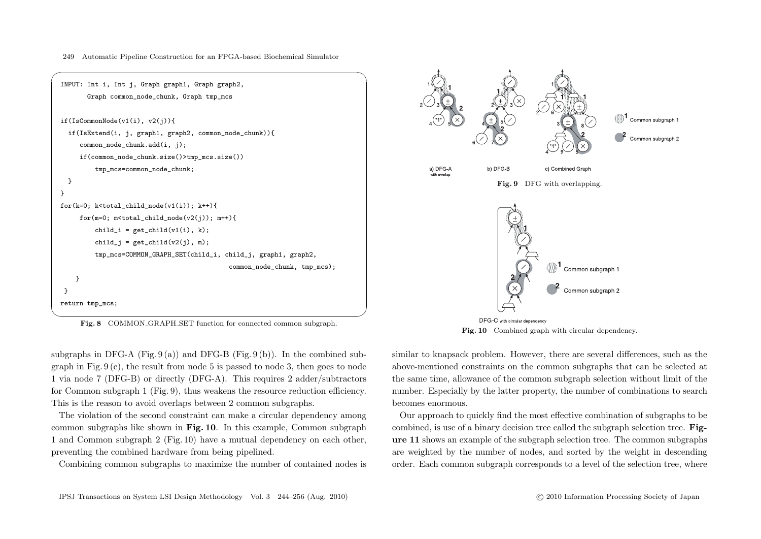

**Fig. 8** COMMON GRAPH SET function for connected common subgraph.

subgraphs in DFG-A (Fig. 9(a)) and DFG-B (Fig. 9(b)). In the combined subgraph in Fig.  $9(c)$ , the result from node 5 is passed to node 3, then goes to node 1 via node 7 (DFG-B) or directly (DFG-A). This requires 2 adder/subtractors for Common subgraph 1 (Fig. 9), thus weakens the resource reduction efficiency. This is the reason to avoid overlaps between 2 common subgraphs.

The violation of the second constraint can make a circular dependency among common subgraphs like shown in **Fig. 10**. In this example, Common subgraph 1 and Common subgraph 2 (Fig. 10) have a mutual dependency on each other, preventing the combined hardware from being pipelined.

Combining common subgraphs to maximize the number of contained nodes is



**Fig. 10** Combined graph with circular dependency.

similar to knapsack problem. However, there are several differences, such as the above-mentioned constraints on the common subgraphs that can be selected at the same time, allowance of the common subgraph selection without limit of the number. Especially by the latter property, the number of combinations to search becomes enormous.

Our approach to quickly find the most effective combination of subgraphs to be combined, is use of a binary decision tree called the subgraph selection tree. **Figure 11** shows an example of the subgraph selection tree. The common subgraphs are weighted by the number of nodes, and sorted by the weight in descending order. Each common subgraph corresponds to a level of the selection tree, where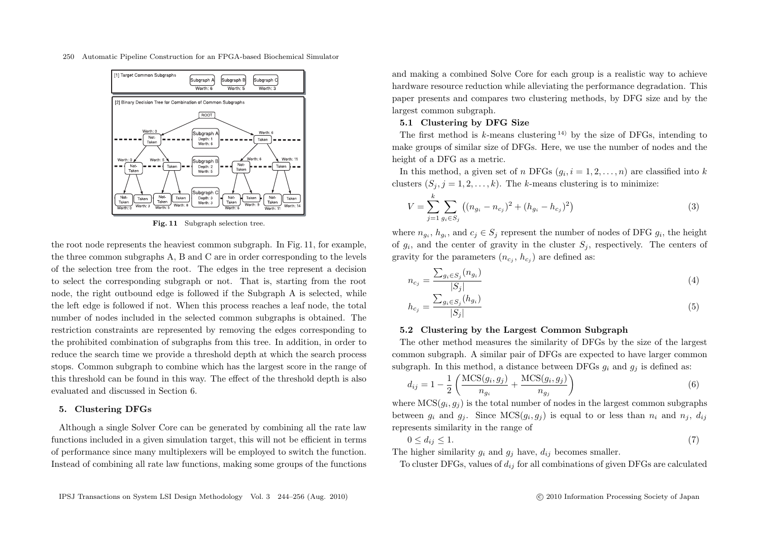

**Fig. 11** Subgraph selection tree.

the root node represents the heaviest common subgraph. In Fig. 11, for example, the three common subgraphs A, B and C are in order corresponding to the levels of the selection tree from the root. The edges in the tree represent a decision to select the corresponding subgraph or not. That is, starting from the root node, the right outbound edge is followed if the Subgraph A is selected, while the left edge is followed if not. When this process reaches a leaf node, the total number of nodes included in the selected common subgraphs is obtained. The restriction constraints are represented by removing the edges corresponding to the prohibited combination of subgraphs from this tree. In addition, in order to reduce the search time we provide a threshold depth at which the search process stops. Common subgraph to combine which has the largest score in the range of this threshold can be found in this way. The effect of the threshold depth is also evaluated and discussed in Section 6.

#### **5. Clustering DFGs**

Although a single Solver Core can be generated by combining all the rate law functions included in a given simulation target, this will not be efficient in terms of performance since many multiplexers will be employed to switch the function. Instead of combining all rate law functions, making some groups of the functions and making a combined Solve Core for each group is a realistic way to achieve hardware resource reduction while alleviating the performance degradation. This paper presents and compares two clustering methods, by DFG size and by the largest common subgraph.

## **5.1 Clustering by DFG Size**

The first method is *k*-means clustering 14) by the size of DFGs, intending to make groups of similar size of DFGs. Here, we use the number of nodes and the height of a DFG as a metric.

In this method, a given set of *n* DFGs  $(q_i, i = 1, 2, \ldots, n)$  are classified into *k* clusters  $(S_j, j = 1, 2, \ldots, k)$ . The *k*-means clustering is to minimize:

$$
V = \sum_{j=1}^{k} \sum_{g_i \in S_j} \left( (n_{g_i} - n_{c_j})^2 + (h_{g_i} - h_{c_j})^2 \right)
$$
 (3)

where  $n_{q_i}$ ,  $h_{q_i}$ , and  $c_j \in S_j$  represent the number of nodes of DFG  $g_i$ , the height of  $g_i$ , and the center of gravity in the cluster  $S_i$ , respectively. The centers of gravity for the parameters  $(n_{c_i}, h_{c_i})$  are defined as:

$$
n_{c_j} = \frac{\sum_{g_i \in S_j} (n_{g_i})}{|S_j|} \tag{4}
$$

$$
h_{c_j} = \frac{\sum_{g_i \in S_j} (h_{g_i})}{|S_j|} \tag{5}
$$

## **5.2 Clustering by the Largest Common Subgraph**

The other method measures the similarity of DFGs by the size of the largest common subgraph. A similar pair of DFGs are expected to have larger common subgraph. In this method, a distance between DFGs  $g_i$  and  $g_j$  is defined as:

$$
d_{ij} = 1 - \frac{1}{2} \left( \frac{\text{MCS}(g_i, g_j)}{n_{g_i}} + \frac{\text{MCS}(g_i, g_j)}{n_{g_j}} \right)
$$
(6)

where  $MCS(g_i, g_j)$  is the total number of nodes in the largest common subgraphs between  $g_i$  and  $g_j$ . Since  $MCS(g_i, g_j)$  is equal to or less than  $n_i$  and  $n_j$ ,  $d_{ij}$ represents similarity in the range of

$$
0 \le d_{ij} \le 1. \tag{7}
$$

The higher similarity  $g_i$  and  $g_j$  have,  $d_{ij}$  becomes smaller.

To cluster DFGs, values of *<sup>d</sup>ij* for all combinations of given DFGs are calculated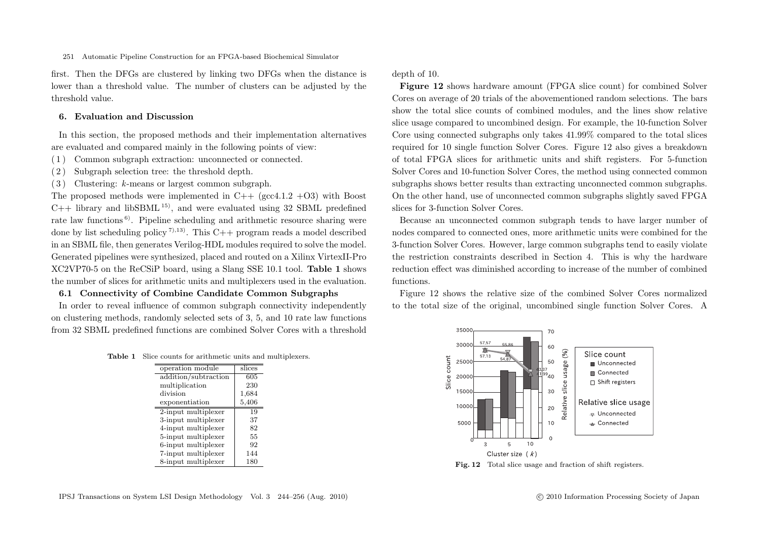first. Then the DFGs are clustered by linking two DFGs when the distance is lower than a threshold value. The number of clusters can be adjusted by the threshold value.

# **6. Evaluation and Discussion**

In this section, the proposed methods and their implementation alternatives are evaluated and compared mainly in the following points of view:

- ( 1 ) Common subgraph extraction: unconnected or connected.
- ( 2 ) Subgraph selection tree: the threshold depth.
- ( 3 ) Clustering: *k*-means or largest common subgraph.

The proposed methods were implemented in  $C_{++}$  (gcc4.1.2 +O3) with Boost  $C_{++}$  library and libSBML<sup>15)</sup>, and were evaluated using 32 SBML predefined rate law functions 6). Pipeline scheduling and arithmetic resource sharing were done by list scheduling policy<sup>7),13</sup>. This C++ program reads a model described in an SBML file, then generates Verilog-HDL modules required to solve the model. Generated pipelines were synthesized, placed and routed on a Xilinx VirtexII-Pro XC2VP70-5 on the ReCSiP board, using a Slang SSE 10.1 tool. **Table 1** shows the number of slices for arithmetic units and multiplexers used in the evaluation.

# **6.1 Connectivity of Combine Candidate Common Subgraphs**

In order to reveal influence of common subgraph connectivity independently on clustering methods, randomly selected sets of 3, 5, and 10 rate law functions from 32 SBML predefined functions are combined Solver Cores with a threshold

**Table 1** Slice counts for arithmetic units and multiplexers.

| operation module     | slices |
|----------------------|--------|
| addition/subtraction | 605    |
| multiplication       | 230    |
| division             | 1,684  |
| exponentiation       | 5,406  |
| 2-input multiplexer  | 19     |
| 3-input multiplexer  | 37     |
| 4-input multiplexer  | 82     |
| 5-input multiplexer  | 55     |
| 6-input multiplexer  | 92     |
| 7-input multiplexer  | 144    |
| 8-input multiplexer  | 180    |

**Figure 12** shows hardware amount (FPGA slice count) for combined Solver Cores on average of 20 trials of the abovementioned random selections. The bars show the total slice counts of combined modules, and the lines show relative slice usage compared to uncombined design. For example, the 10-function Solver Core using connected subgraphs only takes 41.99% compared to the total slices required for 10 single function Solver Cores. Figure 12 also gives a breakdown of total FPGA slices for arithmetic units and shift registers. For 5-function Solver Cores and 10-function Solver Cores, the method using connected common subgraphs shows better results than extracting unconnected common subgraphs. On the other hand, use of unconnected common subgraphs slightly saved FPGA slices for 3-function Solver Cores.

Because an unconnected common subgraph tends to have larger number of nodes compared to connected ones, more arithmetic units were combined for the 3-function Solver Cores. However, large common subgraphs tend to easily violate the restriction constraints described in Section 4. This is why the hardware reduction effect was diminished according to increase of the number of combined functions.

Figure 12 shows the relative size of the combined Solver Cores normalized to the total size of the original, uncombined single function Solver Cores. A



**Fig. 12** Total slice usage and fraction of shift registers.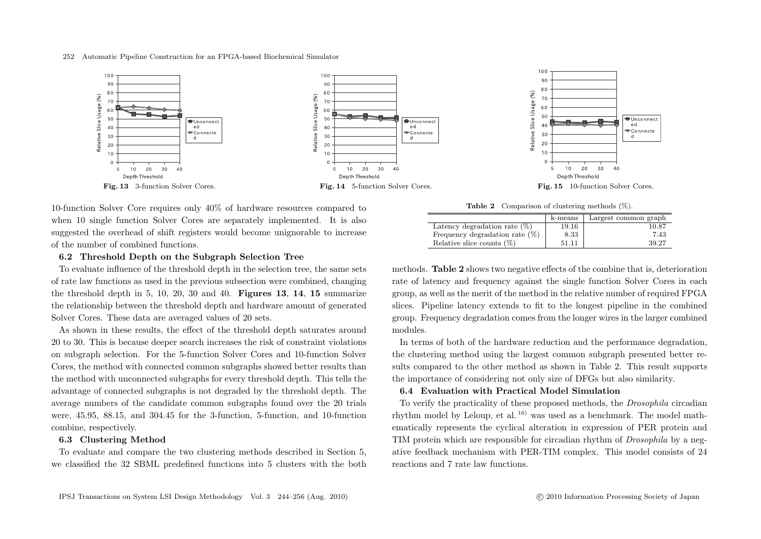

10-function Solver Core requires only 40% of hardware resources compared to when 10 single function Solver Cores are separately implemented. It is also suggested the overhead of shift registers would become unignorable to increase of the number of combined functions.

## **6.2 Threshold Depth on the Subgraph Selection Tree**

To evaluate influence of the threshold depth in the selection tree, the same sets of rate law functions as used in the previous subsection were combined, changing the threshold depth in 5, 10, 20, 30 and 40. **Figures 13**, **14**, **15** summarize the relationship between the threshold depth and hardware amount of generated Solver Cores. These data are averaged values of 20 sets.

As shown in these results, the effect of the threshold depth saturates around 20 to 30. This is because deeper search increases the risk of constraint violations on subgraph selection. For the 5-function Solver Cores and 10-function Solver Cores, the method with connected common subgraphs showed better results than the method with unconnected subgraphs for every threshold depth. This tells the advantage of connected subgraphs is not degraded by the threshold depth. The average numbers of the candidate common subgraphs found over the 20 trials were, 45.95, 88.15, and 304.45 for the 3-function, 5-function, and 10-function combine, respectively.

## **6.3 Clustering Method**

To evaluate and compare the two clustering methods described in Section 5, we classified the 32 SBML predefined functions into 5 clusters with the both

**Table 2** Comparison of clustering methods (%).

|                                   | k-means | Largest common graph |
|-----------------------------------|---------|----------------------|
| Latency degradation rate $(\%)$   | 19.16   | 10.87                |
| Frequency degradation rate $(\%)$ | 8.33    | 7.43                 |
| Relative slice counts $(\%)$      | 51.11   | 39.27                |

methods. **Table 2** shows two negative effects of the combine that is, deterioration rate of latency and frequency against the single function Solver Cores in each group, as well as the merit of the method in the relative number of required FPGA slices. Pipeline latency extends to fit to the longest pipeline in the combined group. Frequency degradation comes from the longer wires in the larger combined modules.

In terms of both of the hardware reduction and the performance degradation, the clustering method using the largest common subgraph presented better results compared to the other method as shown in Table 2. This result supports the importance of considering not only size of DFGs but also similarity.

# **6.4 Evaluation with Practical Model Simulation**

To verify the practicality of these proposed methods, the *Drosophila* circadian rhythm model by Leloup, et al. 16) was used as a benchmark. The model mathematically represents the cyclical alteration in expression of PER protein and TIM protein which are responsible for circadian rhythm of *Drosophila* by a negative feedback mechanism with PER-TIM complex. This model consists of 24 reactions and 7 rate law functions.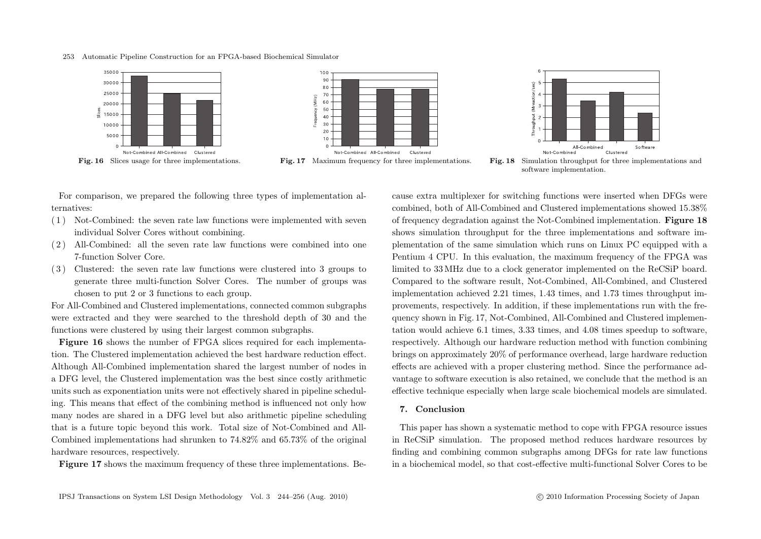











For comparison, we prepared the following three types of implementation alternatives:

- ( 1 ) Not-Combined: the seven rate law functions were implemented with seven individual Solver Cores without combining.
- ( 2 ) All-Combined: all the seven rate law functions were combined into one 7-function Solver Core.
- ( 3 ) Clustered: the seven rate law functions were clustered into 3 groups to generate three multi-function Solver Cores. The number of groups was chosen to put 2 or 3 functions to each group.

For All-Combined and Clustered implementations, connected common subgraphs were extracted and they were searched to the threshold depth of 30 and the functions were clustered by using their largest common subgraphs.

Figure 16 shows the number of FPGA slices required for each implementation. The Clustered implementation achieved the best hardware reduction effect. Although All-Combined implementation shared the largest number of nodes in a DFG level, the Clustered implementation was the best since costly arithmetic units such as exponentiation units were not effectively shared in pipeline scheduling. This means that effect of the combining method is influenced not only how many nodes are shared in a DFG level but also arithmetic pipeline scheduling that is a future topic beyond this work. Total size of Not-Combined and All-Combined implementations had shrunken to 74.82% and 65.73% of the original hardware resources, respectively.

**Figure 17** shows the maximum frequency of these three implementations. Be-

cause extra multiplexer for switching functions were inserted when DFGs were combined, both of All-Combined and Clustered implementations showed 15.38% of frequency degradation against the Not-Combined implementation. **Figure 18** shows simulation throughput for the three implementations and software implementation of the same simulation which runs on Linux PC equipped with a Pentium 4 CPU. In this evaluation, the maximum frequency of the FPGA was limited to 33 MHz due to a clock generator implemented on the ReCSiP board. Compared to the software result, Not-Combined, All-Combined, and Clustered implementation achieved 2.21 times, 1.43 times, and 1.73 times throughput improvements, respectively. In addition, if these implementations run with the frequency shown in Fig. 17, Not-Combined, All-Combined and Clustered implementation would achieve 6.1 times, 3.33 times, and 4.08 times speedup to software, respectively. Although our hardware reduction method with function combining brings on approximately 20% of performance overhead, large hardware reduction effects are achieved with a proper clustering method. Since the performance advantage to software execution is also retained, we conclude that the method is an effective technique especially when large scale biochemical models are simulated.

## **7. Conclusion**

This paper has shown a systematic method to cope with FPGA resource issues in ReCSiP simulation. The proposed method reduces hardware resources by finding and combining common subgraphs among DFGs for rate law functions in a biochemical model, so that cost-effective multi-functional Solver Cores to be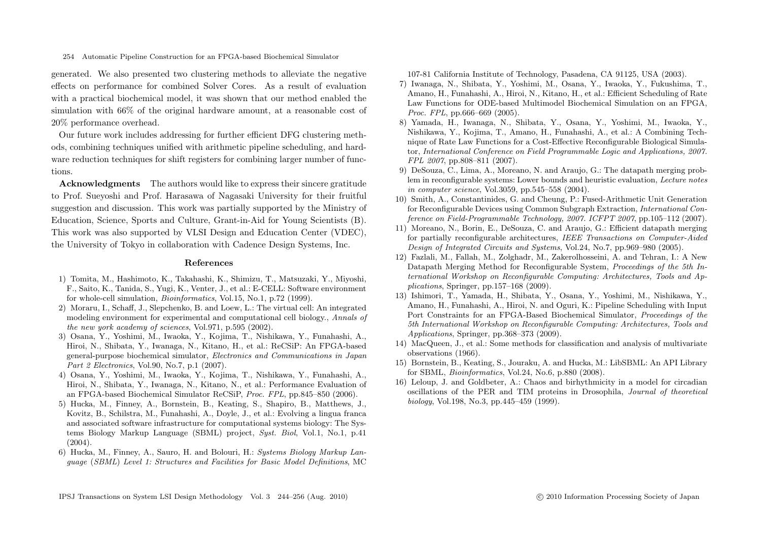generated. We also presented two clustering methods to alleviate the negative effects on performance for combined Solver Cores. As a result of evaluation with a practical biochemical model, it was shown that our method enabled the simulation with 66% of the original hardware amount, at a reasonable cost of 20% performance overhead.

Our future work includes addressing for further efficient DFG clustering methods, combining techniques unified with arithmetic pipeline scheduling, and hardware reduction techniques for shift registers for combining larger number of functions.

**Acknowledgments** The authors would like to express their sincere gratitude to Prof. Sueyoshi and Prof. Harasawa of Nagasaki University for their fruitful suggestion and discussion. This work was partially supported by the Ministry of Education, Science, Sports and Culture, Grant-in-Aid for Young Scientists (B). This work was also supported by VLSI Design and Education Center (VDEC), the University of Tokyo in collaboration with Cadence Design Systems, Inc.

## **References**

- 1) Tomita, M., Hashimoto, K., Takahashi, K., Shimizu, T., Matsuzaki, Y., Miyoshi, F., Saito, K., Tanida, S., Yugi, K., Venter, J., et al.: E-CELL: Software environment for whole-cell simulation, *Bioinformatics*, Vol.15, No.1, p.72 (1999).
- 2) Moraru, I., Schaff, J., Slepchenko, B. and Loew, L.: The virtual cell: An integrated modeling environment for experimental and computational cell biology., *Annals of the new york academy of sciences*, Vol.971, p.595 (2002).
- 3) Osana, Y., Yoshimi, M., Iwaoka, Y., Kojima, T., Nishikawa, Y., Funahashi, A., Hiroi, N., Shibata, Y., Iwanaga, N., Kitano, H., et al.: ReCSiP: An FPGA-based general-purpose biochemical simulator, *Electronics and Communications in Japan Part 2 Electronics*, Vol.90, No.7, p.1 (2007).
- 4) Osana, Y., Yoshimi, M., Iwaoka, Y., Kojima, T., Nishikawa, Y., Funahashi, A., Hiroi, N., Shibata, Y., Iwanaga, N., Kitano, N., et al.: Performance Evaluation of an FPGA-based Biochemical Simulator ReCSiP, *Proc. FPL*, pp.845–850 (2006).
- 5) Hucka, M., Finney, A., Bornstein, B., Keating, S., Shapiro, B., Matthews, J., Kovitz, B., Schilstra, M., Funahashi, A., Doyle, J., et al.: Evolving a lingua franca and associated software infrastructure for computational systems biology: The Systems Biology Markup Language (SBML) project, *Syst. Biol*, Vol.1, No.1, p.41  $(2004).$
- 6) Hucka, M., Finney, A., Sauro, H. and Bolouri, H.: *Systems Biology Markup Language* (*SBML*) *Level 1: Structures and Facilities for Basic Model Definitions*, MC

107-81 California Institute of Technology, Pasadena, CA 91125, USA (2003).

- 7) Iwanaga, N., Shibata, Y., Yoshimi, M., Osana, Y., Iwaoka, Y., Fukushima, T., Amano, H., Funahashi, A., Hiroi, N., Kitano, H., et al.: Efficient Scheduling of Rate Law Functions for ODE-based Multimodel Biochemical Simulation on an FPGA, *Proc. FPL*, pp.666–669 (2005).
- 8) Yamada, H., Iwanaga, N., Shibata, Y., Osana, Y., Yoshimi, M., Iwaoka, Y., Nishikawa, Y., Kojima, T., Amano, H., Funahashi, A., et al.: A Combining Technique of Rate Law Functions for a Cost-Effective Reconfigurable Biological Simulator, *International Conference on Field Programmable Logic and Applications, 2007. FPL 2007*, pp.808–811 (2007).
- 9) DeSouza, C., Lima, A., Moreano, N. and Araujo, G.: The datapath merging problem in reconfigurable systems: Lower bounds and heuristic evaluation, *Lecture notes in computer science*, Vol.3059, pp.545–558 (2004).
- 10) Smith, A., Constantinides, G. and Cheung, P.: Fused-Arithmetic Unit Generation for Reconfigurable Devices using Common Subgraph Extraction, *International Conference on Field-Programmable Technology, 2007. ICFPT 2007*, pp.105–112 (2007).
- 11) Moreano, N., Borin, E., DeSouza, C. and Araujo, G.: Efficient datapath merging for partially reconfigurable architectures, *IEEE Transactions on Computer-Aided Design of Integrated Circuits and Systems*, Vol.24, No.7, pp.969–980 (2005).
- 12) Fazlali, M., Fallah, M., Zolghadr, M., Zakerolhosseini, A. and Tehran, I.: A New Datapath Merging Method for Reconfigurable System, *Proceedings of the 5th International Workshop on Reconfigurable Computing: Architectures, Tools and Applications*, Springer, pp.157–168 (2009).
- 13) Ishimori, T., Yamada, H., Shibata, Y., Osana, Y., Yoshimi, M., Nishikawa, Y., Amano, H., Funahashi, A., Hiroi, N. and Oguri, K.: Pipeline Scheduling with Input Port Constraints for an FPGA-Based Biochemical Simulator, *Proceedings of the 5th International Workshop on Reconfigurable Computing: Architectures, Tools and Applications*, Springer, pp.368–373 (2009).
- 14) MacQueen, J., et al.: Some methods for classification and analysis of multivariate observations (1966).
- 15) Bornstein, B., Keating, S., Jouraku, A. and Hucka, M.: LibSBML: An API Library for SBML, *Bioinformatics*, Vol.24, No.6, p.880 (2008).
- 16) Leloup, J. and Goldbeter, A.: Chaos and birhythmicity in a model for circadian oscillations of the PER and TIM proteins in Drosophila, *Journal of theoretical biology*, Vol.198, No.3, pp.445–459 (1999).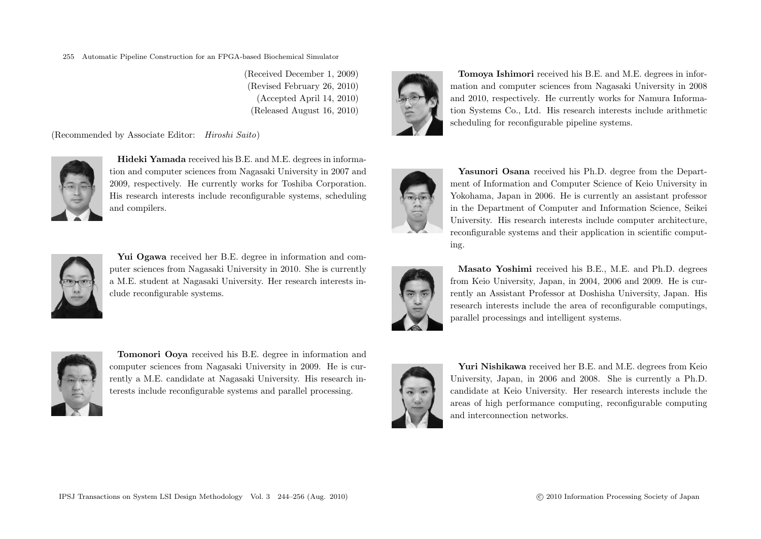(Received December 1, 2009) (Revised February 26, 2010) (Accepted April 14, 2010) (Released August 16, 2010)

(Recommended by Associate Editor: *Hiroshi Saito*)



**Hideki Yamada** received his B.E. and M.E. degrees in information and computer sciences from Nagasaki University in 2007 and 2009, respectively. He currently works for Toshiba Corporation. His research interests include reconfigurable systems, scheduling and compilers.



**Yui Ogawa** received her B.E. degree in information and computer sciences from Nagasaki University in 2010. She is currently a M.E. student at Nagasaki University. Her research interests include reconfigurable systems.



**Tomonori Ooya** received his B.E. degree in information and computer sciences from Nagasaki University in 2009. He is currently a M.E. candidate at Nagasaki University. His research interests include reconfigurable systems and parallel processing.



**Tomoya Ishimori** received his B.E. and M.E. degrees in information and computer sciences from Nagasaki University in 2008 and 2010, respectively. He currently works for Namura Information Systems Co., Ltd. His research interests include arithmetic scheduling for reconfigurable pipeline systems.



**Yasunori Osana** received his Ph.D. degree from the Department of Information and Computer Science of Keio University in Yokohama, Japan in 2006. He is currently an assistant professor in the Department of Computer and Information Science, Seikei University. His research interests include computer architecture, reconfigurable systems and their application in scientific computing.



**Masato Yoshimi** received his B.E., M.E. and Ph.D. degrees from Keio University, Japan, in 2004, 2006 and 2009. He is currently an Assistant Professor at Doshisha University, Japan. His research interests include the area of reconfigurable computings, parallel processings and intelligent systems.



**Yuri Nishikawa** received her B.E. and M.E. degrees from Keio University, Japan, in 2006 and 2008. She is currently a Ph.D. candidate at Keio University. Her research interests include the areas of high performance computing, reconfigurable computing and interconnection networks.